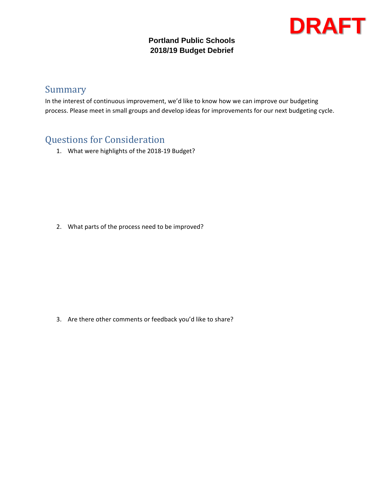#### **Portland Public Schools 2018/19 Budget Debrief**

# **DRAFT**

### Summary

In the interest of continuous improvement, we'd like to know how we can improve our budgeting process. Please meet in small groups and develop ideas for improvements for our next budgeting cycle.

### Questions for Consideration

1. What were highlights of the 2018‐19 Budget?

2. What parts of the process need to be improved?

3. Are there other comments or feedback you'd like to share?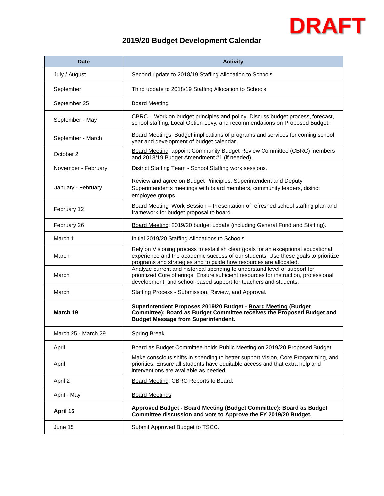# **DRAFT**

### **2019/20 Budget Development Calendar**

| <b>Date</b>         | <b>Activity</b>                                                                                                                                                                                                                              |  |  |  |
|---------------------|----------------------------------------------------------------------------------------------------------------------------------------------------------------------------------------------------------------------------------------------|--|--|--|
| July / August       | Second update to 2018/19 Staffing Allocation to Schools.                                                                                                                                                                                     |  |  |  |
| September           | Third update to 2018/19 Staffing Allocation to Schools.                                                                                                                                                                                      |  |  |  |
| September 25        | <b>Board Meeting</b>                                                                                                                                                                                                                         |  |  |  |
| September - May     | CBRC - Work on budget principles and policy. Discuss budget process, forecast,<br>school staffing, Local Option Levy, and recommendations on Proposed Budget.                                                                                |  |  |  |
| September - March   | Board Meetings: Budget implications of programs and services for coming school<br>year and development of budget calendar.                                                                                                                   |  |  |  |
| October 2           | Board Meeting: appoint Community Budget Review Committee (CBRC) members<br>and 2018/19 Budget Amendment #1 (if needed).                                                                                                                      |  |  |  |
| November - February | District Staffing Team - School Staffing work sessions.                                                                                                                                                                                      |  |  |  |
| January - February  | Review and agree on Budget Principles: Superintendent and Deputy<br>Superintendents meetings with board members, community leaders, district<br>employee groups.                                                                             |  |  |  |
| February 12         | Board Meeting: Work Session - Presentation of refreshed school staffing plan and<br>framework for budget proposal to board.                                                                                                                  |  |  |  |
| February 26         | Board Meeting: 2019/20 budget update (including General Fund and Staffing).                                                                                                                                                                  |  |  |  |
| March 1             | Initial 2019/20 Staffing Allocations to Schools.                                                                                                                                                                                             |  |  |  |
| March               | Rely on Visioning process to establish clear goals for an exceptional educational<br>experience and the academic success of our students. Use these goals to prioritize<br>programs and strategies and to guide how resources are allocated. |  |  |  |
| March               | Analyze current and historical spending to understand level of support for<br>prioritized Core offerings. Ensure sufficient resources for instruction, professional<br>development, and school-based support for teachers and students.      |  |  |  |
| March               | Staffing Process - Submission, Review, and Approval.                                                                                                                                                                                         |  |  |  |
| March 19            | Superintendent Proposes 2019/20 Budget - Board Meeting (Budget<br>Committee): Board as Budget Committee receives the Proposed Budget and<br><b>Budget Message from Superintendent.</b>                                                       |  |  |  |
| March 25 - March 29 | Spring Break                                                                                                                                                                                                                                 |  |  |  |
| April               | Board as Budget Committee holds Public Meeting on 2019/20 Proposed Budget.                                                                                                                                                                   |  |  |  |
| April               | Make conscious shifts in spending to better support Vision, Core Progamming, and<br>priorities. Ensure all students have equitable access and that extra help and<br>interventions are available as needed.                                  |  |  |  |
| April 2             | Board Meeting: CBRC Reports to Board.                                                                                                                                                                                                        |  |  |  |
| April - May         | <b>Board Meetings</b>                                                                                                                                                                                                                        |  |  |  |
| April 16            | Approved Budget - Board Meeting (Budget Committee): Board as Budget<br>Committee discussion and vote to Approve the FY 2019/20 Budget.                                                                                                       |  |  |  |
| June 15             | Submit Approved Budget to TSCC.                                                                                                                                                                                                              |  |  |  |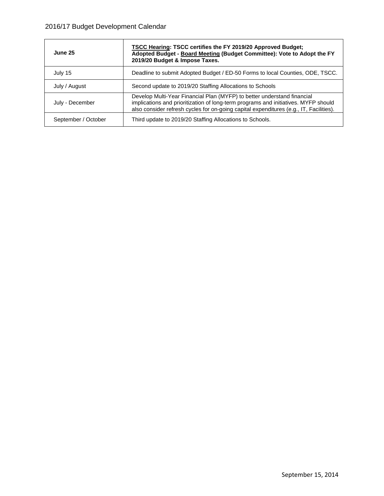| June 25             | <b>TSCC Hearing: TSCC certifies the FY 2019/20 Approved Budget;</b><br>Adopted Budget - Board Meeting (Budget Committee): Vote to Adopt the FY<br>2019/20 Budget & Impose Taxes.                                                                        |  |  |  |  |
|---------------------|---------------------------------------------------------------------------------------------------------------------------------------------------------------------------------------------------------------------------------------------------------|--|--|--|--|
| July 15             | Deadline to submit Adopted Budget / ED-50 Forms to local Counties, ODE, TSCC.                                                                                                                                                                           |  |  |  |  |
| July / August       | Second update to 2019/20 Staffing Allocations to Schools                                                                                                                                                                                                |  |  |  |  |
| July - December     | Develop Multi-Year Financial Plan (MYFP) to better understand financial<br>implications and prioritization of long-term programs and initiatives. MYFP should<br>also consider refresh cycles for on-going capital expenditures (e.g., IT, Facilities). |  |  |  |  |
| September / October | Third update to 2019/20 Staffing Allocations to Schools.                                                                                                                                                                                                |  |  |  |  |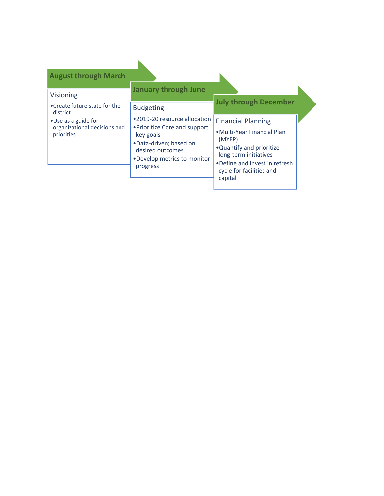| <b>August through March</b>                                        |                                                                                                                                                                      |                                                                                                                                                                                                  |
|--------------------------------------------------------------------|----------------------------------------------------------------------------------------------------------------------------------------------------------------------|--------------------------------------------------------------------------------------------------------------------------------------------------------------------------------------------------|
| <b>Visioning</b><br>• Create future state for the<br>district      | <b>January through June</b><br><b>Budgeting</b>                                                                                                                      | <b>July through December</b>                                                                                                                                                                     |
| • Use as a guide for<br>organizational decisions and<br>priorities | •2019-20 resource allocation<br>• Prioritize Core and support<br>key goals<br>•Data-driven; based on<br>desired outcomes<br>. Develop metrics to monitor<br>progress | <b>Financial Planning</b><br>• Multi-Year Financial Plan<br>(MYFP)<br>. Quantify and prioritize<br>long-term initiatives<br>•Define and invest in refresh<br>cycle for facilities and<br>capital |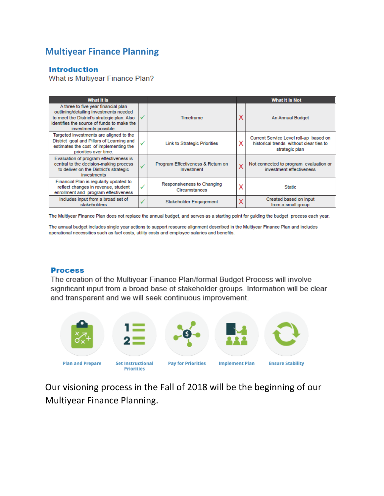### **Multiyear Finance Planning**

#### **Introduction**

What is Multiyear Finance Plan?

| What It Is                                                                                                                                                                                          |   | <b>What It Is Not</b>                           |   |                                                                                                     |
|-----------------------------------------------------------------------------------------------------------------------------------------------------------------------------------------------------|---|-------------------------------------------------|---|-----------------------------------------------------------------------------------------------------|
| A three to five year financial plan<br>outlining/detailing investments needed<br>to meet the District's strategic plan. Also<br>identifies the source of funds to make the<br>investments possible. |   | <b>Timeframe</b>                                | Χ | An Annual Budget                                                                                    |
| Targeted investments are aligned to the<br>District goal and Pillars of Learning and<br>estimates the cost of implementing the<br>priorities over time.                                             |   | <b>Link to Strategic Priorities</b>             | x | Current Service Level roll-up based on<br>historical trends without clear ties to<br>strategic plan |
| Evaluation of program effectiveness is<br>central to the decision-making process<br>to deliver on the District's strategic<br><i>investments</i>                                                    |   | Program Effectiveness & Return on<br>Investment | X | Not connected to program evaluation or<br>investment effectiveness                                  |
| Financial Plan is regularly updated to<br>reflect changes in revenue, student<br>enrollment and program effectiveness                                                                               | v | Responsiveness to Changing<br>Circumstances     | Х | <b>Static</b>                                                                                       |
| Includes input from a broad set of<br>stakeholders                                                                                                                                                  |   | Stakeholder Engagement                          | Х | Created based on input<br>from a small group                                                        |

The Multiyear Finance Plan does not replace the annual budget, and serves as a starting point for guiding the budget process each year.

The annual budget includes single year actions to support resource alignment described in the Multiyear Finance Plan and includes operational necessities such as fuel costs, utility costs and employee salaries and benefits.

#### **Process**

The creation of the Multiyear Finance Plan/formal Budget Process will involve significant input from a broad base of stakeholder groups. Information will be clear and transparent and we will seek continuous improvement.



Our visioning process in the Fall of 2018 will be the beginning of our Multiyear Finance Planning.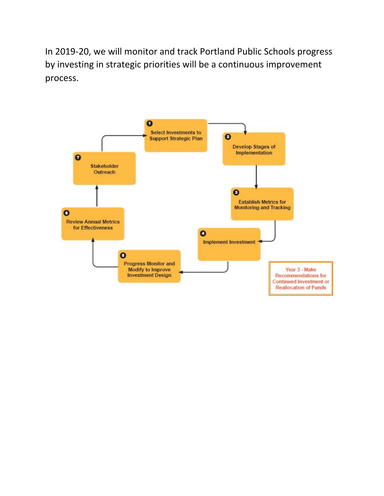In 2019‐20, we will monitor and track Portland Public Schools progress by investing in strategic priorities will be a continuous improvement process.

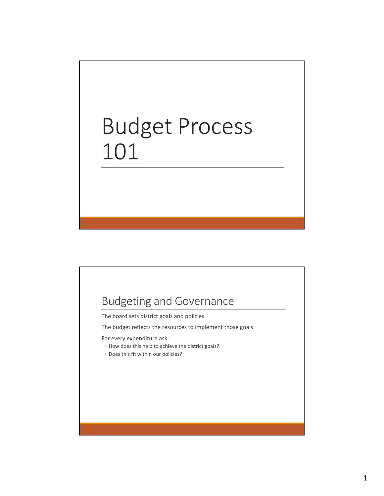# Budget Process 101



The board sets district goals and policies

The budget reflects the resources to implement those goals

For every expenditure ask:

- How does this help to achieve the district goals?
- Does this fit within our policies?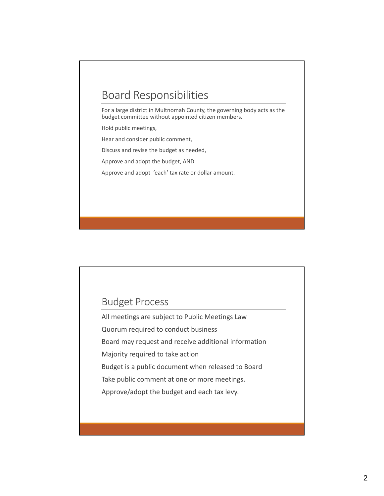## Board Responsibilities

For a large district in Multnomah County, the governing body acts as the budget committee without appointed citizen members.

Hold public meetings,

Hear and consider public comment,

Discuss and revise the budget as needed,

Approve and adopt the budget, AND

Approve and adopt 'each' tax rate or dollar amount.

### Budget Process

All meetings are subject to Public Meetings Law Quorum required to conduct business

Board may request and receive additional information

Majority required to take action

Budget is a public document when released to Board

Take public comment at one or more meetings.

Approve/adopt the budget and each tax levy.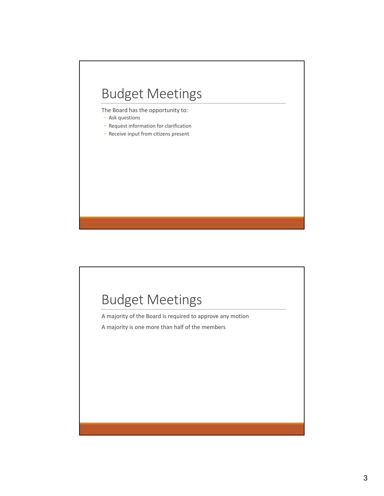# Budget Meetings

The Board has the opportunity to:

- Ask questions
- Request information for clarification
- Receive input from citizens present

# Budget Meetings

A majority of the Board is required to approve any motion

A majority is one more than half of the members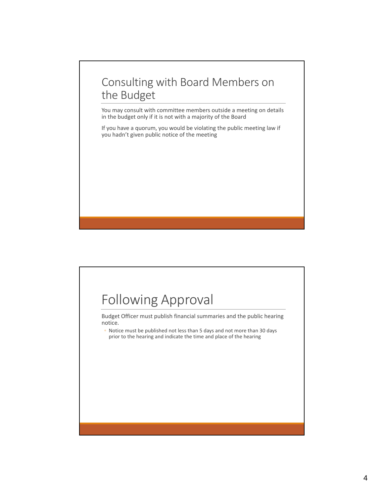# Consulting with Board Members on the Budget

You may consult with committee members outside a meeting on details in the budget only if it is not with a majority of the Board

If you have a quorum, you would be violating the public meeting law if you hadn't given public notice of the meeting

# Following Approval Budget Officer must publish financial summaries and the public hearing notice. ◦ Notice must be published not less than 5 days and not more than 30 days prior to the hearing and indicate the time and place of the hearing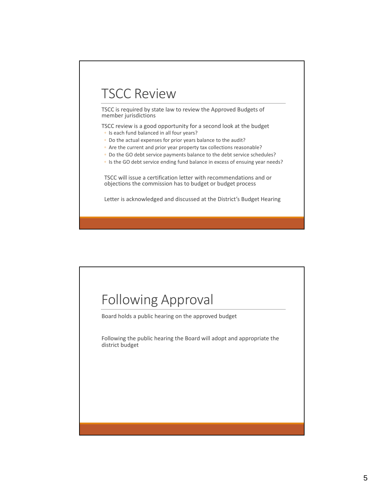# TSCC Review

TSCC is required by state law to review the Approved Budgets of member jurisdictions

TSCC review is a good opportunity for a second look at the budget

- Is each fund balanced in all four years?
- Do the actual expenses for prior years balance to the audit?
- Are the current and prior year property tax collections reasonable?
- Do the GO debt service payments balance to the debt service schedules?
- Is the GO debt service ending fund balance in excess of ensuing year needs?

TSCC will issue a certification letter with recommendations and or objections the commission has to budget or budget process

Letter is acknowledged and discussed at the District's Budget Hearing